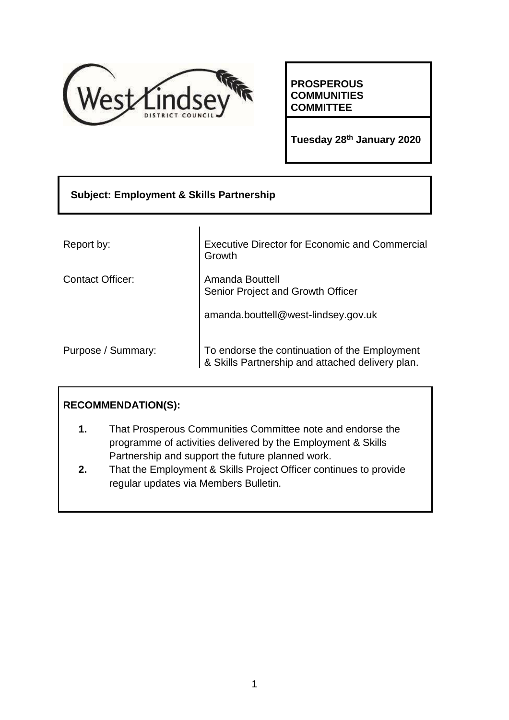

**PROSPEROUS COMMUNITIES COMMITTEE**

**Tuesday 28th January 2020**

| <b>Subject: Employment &amp; Skills Partnership</b> |                                                                                                   |  |  |  |
|-----------------------------------------------------|---------------------------------------------------------------------------------------------------|--|--|--|
|                                                     |                                                                                                   |  |  |  |
| Report by:                                          | <b>Executive Director for Economic and Commercial</b><br>Growth                                   |  |  |  |
| <b>Contact Officer:</b>                             | Amanda Bouttell<br>Senior Project and Growth Officer                                              |  |  |  |
|                                                     | amanda.bouttell@west-lindsey.gov.uk                                                               |  |  |  |
| Purpose / Summary:                                  | To endorse the continuation of the Employment<br>& Skills Partnership and attached delivery plan. |  |  |  |

# **RECOMMENDATION(S):**

- **1.** That Prosperous Communities Committee note and endorse the programme of activities delivered by the Employment & Skills Partnership and support the future planned work.
- **2.** That the Employment & Skills Project Officer continues to provide regular updates via Members Bulletin.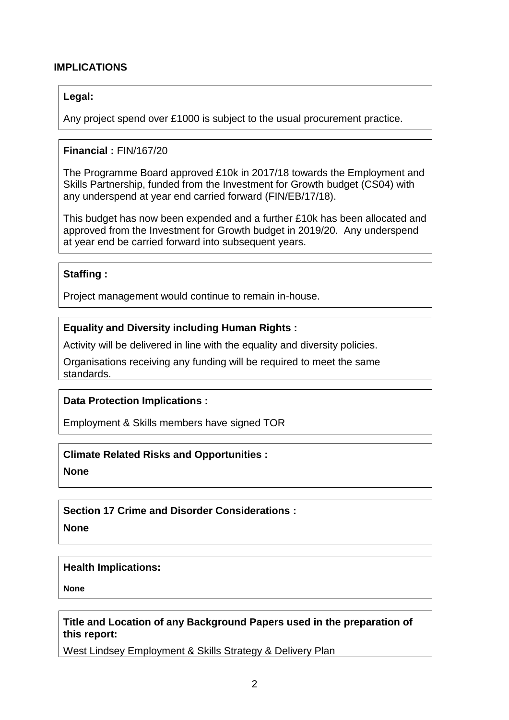### **IMPLICATIONS**

#### **Legal:**

Any project spend over £1000 is subject to the usual procurement practice.

#### **Financial :** FIN/167/20

The Programme Board approved £10k in 2017/18 towards the Employment and Skills Partnership, funded from the Investment for Growth budget (CS04) with any underspend at year end carried forward (FIN/EB/17/18).

This budget has now been expended and a further £10k has been allocated and approved from the Investment for Growth budget in 2019/20. Any underspend at year end be carried forward into subsequent years.

#### **Staffing :**

Project management would continue to remain in-house.

#### **Equality and Diversity including Human Rights :**

Activity will be delivered in line with the equality and diversity policies.

Organisations receiving any funding will be required to meet the same standards.

#### **Data Protection Implications :**

Employment & Skills members have signed TOR

#### **Climate Related Risks and Opportunities :**

**None**

**Section 17 Crime and Disorder Considerations :**

**None**

#### **Health Implications:**

**None**

### **Title and Location of any Background Papers used in the preparation of this report:**

West Lindsey Employment & Skills Strategy & Delivery Plan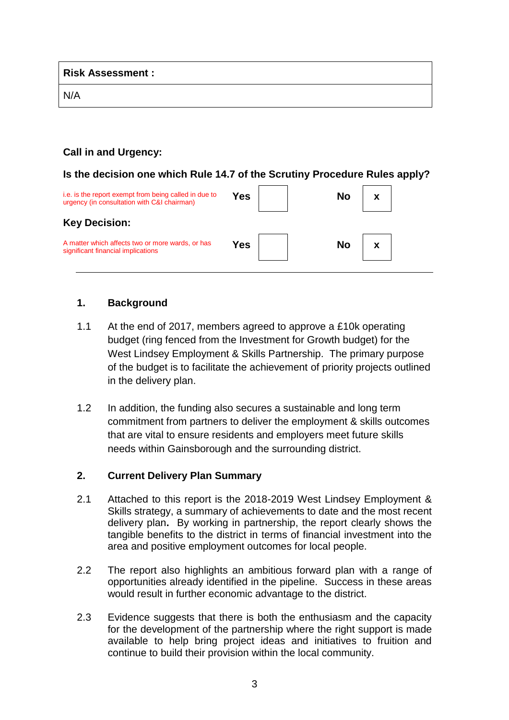**Risk Assessment :** 

N/A

### **Call in and Urgency:**

### **Is the decision one which Rule 14.7 of the Scrutiny Procedure Rules apply?**

| i.e. is the report exempt from being called in due to<br>urgency (in consultation with C&I chairman) | Yes | No |  |
|------------------------------------------------------------------------------------------------------|-----|----|--|
| <b>Key Decision:</b>                                                                                 |     |    |  |
| A matter which affects two or more wards, or has<br>significant financial implications               | Yes | No |  |

## **1. Background**

- 1.1 At the end of 2017, members agreed to approve a £10k operating budget (ring fenced from the Investment for Growth budget) for the West Lindsey Employment & Skills Partnership. The primary purpose of the budget is to facilitate the achievement of priority projects outlined in the delivery plan.
- 1.2 In addition, the funding also secures a sustainable and long term commitment from partners to deliver the employment & skills outcomes that are vital to ensure residents and employers meet future skills needs within Gainsborough and the surrounding district.

### **2. Current Delivery Plan Summary**

- 2.1 Attached to this report is the 2018-2019 West Lindsey Employment & Skills strategy, a summary of achievements to date and the most recent delivery plan**.** By working in partnership, the report clearly shows the tangible benefits to the district in terms of financial investment into the area and positive employment outcomes for local people.
- 2.2 The report also highlights an ambitious forward plan with a range of opportunities already identified in the pipeline. Success in these areas would result in further economic advantage to the district.
- 2.3 Evidence suggests that there is both the enthusiasm and the capacity for the development of the partnership where the right support is made available to help bring project ideas and initiatives to fruition and continue to build their provision within the local community.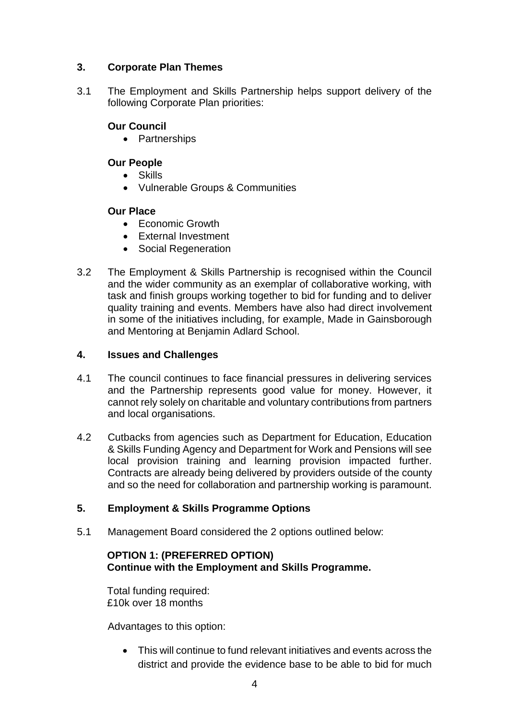# **3. Corporate Plan Themes**

3.1 The Employment and Skills Partnership helps support delivery of the following Corporate Plan priorities:

# **Our Council**

• Partnerships

# **Our People**

- Skills
- Vulnerable Groups & Communities

## **Our Place**

- Fconomic Growth
- External Investment
- Social Regeneration
- 3.2 The Employment & Skills Partnership is recognised within the Council and the wider community as an exemplar of collaborative working, with task and finish groups working together to bid for funding and to deliver quality training and events. Members have also had direct involvement in some of the initiatives including, for example, Made in Gainsborough and Mentoring at Benjamin Adlard School.

### **4. Issues and Challenges**

- 4.1 The council continues to face financial pressures in delivering services and the Partnership represents good value for money. However, it cannot rely solely on charitable and voluntary contributions from partners and local organisations.
- 4.2 Cutbacks from agencies such as Department for Education, Education & Skills Funding Agency and Department for Work and Pensions will see local provision training and learning provision impacted further. Contracts are already being delivered by providers outside of the county and so the need for collaboration and partnership working is paramount.

## **5. Employment & Skills Programme Options**

5.1 Management Board considered the 2 options outlined below:

### **OPTION 1: (PREFERRED OPTION) Continue with the Employment and Skills Programme.**

Total funding required: £10k over 18 months

Advantages to this option:

 This will continue to fund relevant initiatives and events across the district and provide the evidence base to be able to bid for much